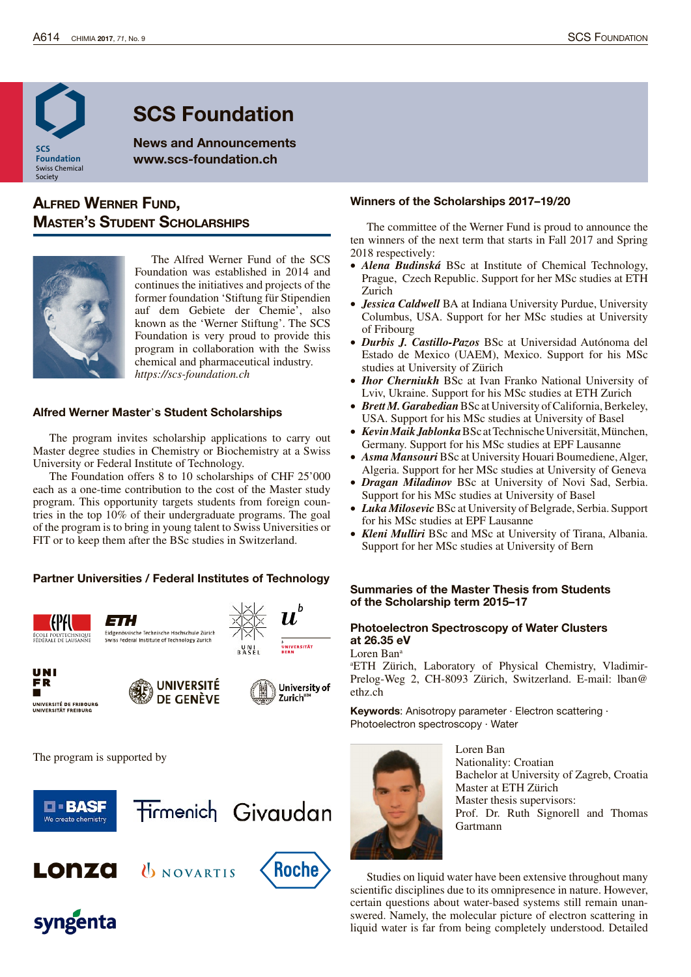

# SCS Foundation

News and Announcements www.scs-foundation.ch

# Alfred Werner fund, **MASTER'S STUDENT SCHOLARSHIPS**



The Alfred Werner Fund of the SCS Foundation was established in 2014 and continues the initiatives and projects of the former foundation 'Stiftung für Stipendien auf dem Gebiete der Chemie', also known as the 'Werner Stiftung'. The SCS Foundation is very proud to provide this program in collaboration with the Swiss chemical and pharmaceutical industry. *https://scs-foundation.ch*

### Alfred Werner Master's Student Scholarships

The program invites scholarship applications to carry out Master degree studies in Chemistry or Biochemistry at a Swiss University or Federal Institute of Technology.

The Foundation offers 8 to 10 scholarships of CHF 25'000 each as a one-time contribution to the cost of the Master study program. This opportunity targets students from foreign countries in the top 10% of their undergraduate programs. The goal of the program is to bring in young talent to Swiss Universities or FIT or to keep them after the BSc studies in Switzerland.

# Partner Universities / Federal Institutes of Technology













The program is supported by



# Winners of the Scholarships 2017–19/20

The committee of the Werner Fund is proud to announce the ten winners of the next term that starts in Fall 2017 and Spring 2018 respectively:

- · *Alena Budinská* BSc at Institute of Chemical Technology, Prague, Czech Republic. Support for her MSc studies at ETH Zurich
- · *Jessica Caldwell* BA at Indiana University Purdue, University Columbus, USA. Support for her MSc studies at University of Fribourg
- · *Durbis J. Castillo-Pazos* BSc at Universidad Autónoma del Estado de Mexico (UAEM), Mexico. Support for his MSc studies at University of Zürich
- · *Ihor Cherniukh* BSc at Ivan Franko National University of Lviv, Ukraine. Support for his MSc studies at ETH Zurich
- *Brett M. Garabedian* BSc at University of California, Berkeley, USA. Support for his MSc studies at University of Basel
- · *KevinMaikJablonka*BSc atTechnischeUniversität,München, Germany. Support for his MSc studies at EPF Lausanne
- · *Asma Mansouri* BSc at University Houari Boumediene,Alger, Algeria. Support for her MSc studies at University of Geneva
- · *Dragan Miladinov* BSc at University of Novi Sad, Serbia. Support for his MSc studies at University of Basel
- *Luka Milosevic* BSc at University of Belgrade, Serbia. Support for his MSc studies at EPF Lausanne
- · *Kleni Mulliri* BSc and MSc at University of Tirana, Albania. Support for her MSc studies at University of Bern

# Summaries of the Master Thesis from Students of the Scholarship term 2015–17

# Photoelectron Spectroscopy of Water Clusters at 26.35 eV

Loren Ban<sup>a</sup>

<sup>a</sup>ETH Zürich, Laboratory of Physical Chemistry, Vladimir-Prelog-Weg 2, CH-8093 Zürich, Switzerland. E-mail: lban@ ethz.ch

Keywords: Anisotropy parameter · Electron scattering · Photoelectron spectroscopy · Water



Loren Ban Nationality: Croatian Bachelor at University of Zagreb, Croatia Master at ETH Zürich Master thesis supervisors: Prof. Dr. Ruth Signorell and Thomas Gartmann

Studies on liquid water have been extensive throughout many scientific disciplines due to its omnipresence in nature. However, certain questions about water-based systems still remain unanswered. Namely, the molecular picture of electron scattering in liquid water is far from being completely understood. Detailed

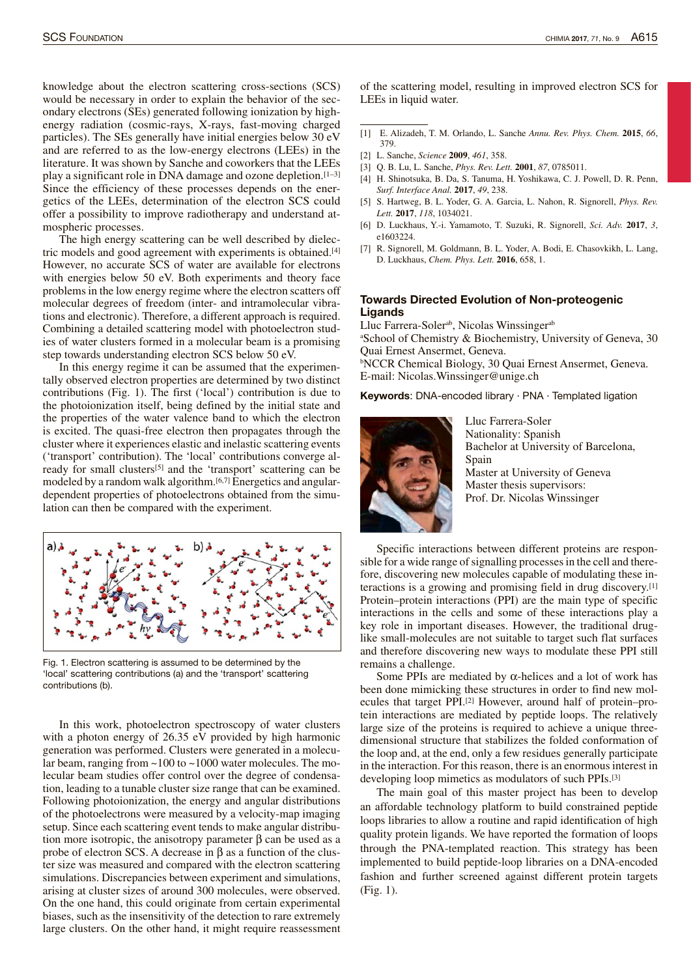knowledge about the electron scattering cross-sections (SCS) would be necessary in order to explain the behavior of the secondary electrons (SEs) generated following ionization by highenergy radiation (cosmic-rays, X-rays, fast-moving charged particles). The SEs generally have initial energies below 30 eV and are referred to as the low-energy electrons (LEEs) in the literature. It was shown by Sanche and coworkers that the LEEs play a significant role in DNA damage and ozone depletion.[1–3] Since the efficiency of these processes depends on the energetics of the LEEs, determination of the electron SCS could offer a possibility to improve radiotherapy and understand atmospheric processes.

The high energy scattering can be well described by dielectric models and good agreement with experiments is obtained.[4] However, no accurate SCS of water are available for electrons with energies below 50 eV. Both experiments and theory face problems in the low energy regime where the electron scatters off molecular degrees of freedom (inter- and intramolecular vibrations and electronic). Therefore, a different approach is required. Combining a detailed scattering model with photoelectron studies of water clusters formed in a molecular beam is a promising step towards understanding electron SCS below 50 eV.

In this energy regime it can be assumed that the experimentally observed electron properties are determined by two distinct contributions (Fig. 1). The first ('local') contribution is due to the photoionization itself, being defined by the initial state and the properties of the water valence band to which the electron is excited. The quasi-free electron then propagates through the cluster where it experiences elastic and inelastic scattering events ('transport' contribution). The 'local' contributions converge already for small clusters[5] and the 'transport' scattering can be modeled by a random walk algorithm.[6,7] Energetics and angulardependent properties of photoelectrons obtained from the simulation can then be compared with the experiment.



Fig. 1. Electron scattering is assumed to be determined by the 'local' scattering contributions (a) and the 'transport' scattering contributions (b).

In this work, photoelectron spectroscopy of water clusters with a photon energy of 26.35 eV provided by high harmonic generation was performed. Clusters were generated in a molecular beam, ranging from ~100 to ~1000 water molecules. The molecular beam studies offer control over the degree of condensation, leading to a tunable cluster size range that can be examined. Following photoionization, the energy and angular distributions of the photoelectrons were measured by a velocity-map imaging setup. Since each scattering event tends to make angular distribution more isotropic, the anisotropy parameter β can be used as a probe of electron SCS. A decrease in β as a function of the cluster size was measured and compared with the electron scattering simulations. Discrepancies between experiment and simulations, arising at cluster sizes of around 300 molecules, were observed. On the one hand, this could originate from certain experimental biases, such as the insensitivity of the detection to rare extremely large clusters. On the other hand, it might require reassessment of the scattering model, resulting in improved electron SCS for LEEs in liquid water.

- [1] E. Alizadeh, T. M. Orlando, L. Sanche *Annu. Rev. Phys. Chem.* **2015**, *66*, 379.
- [2] L. Sanche, *Science* **2009**, *461*, 358.
- [3] Q. B. Lu, L. Sanche, *Phys. Rev. Lett.* **2001**, *87*, 0785011.
- [4] H. Shinotsuka, B. Da, S. Tanuma, H. Yoshikawa, C. J. Powell, D. R. Penn, *Surf. Interface Anal.* **2017**, *49*, 238.
- [5] S. Hartweg, B. L. Yoder, G. A. Garcia, L. Nahon, R. Signorell, *Phys. Rev. Lett.* **2017**, *118*, 1034021.
- [6] D. Luckhaus, Y.-i. Yamamoto, T. Suzuki, R. Signorell, *Sci. Adv.* **2017**, *3*, e1603224.
- [7] R. Signorell, M. Goldmann, B. L. Yoder, A. Bodi, E. Chasovkikh, L. Lang, D. Luckhaus, *Chem. Phys. Lett.* **2016**, 658, 1.

#### Towards Directed Evolution of Non-proteogenic **Ligands**

Lluc Farrera-Soler<sup>ab</sup>, Nicolas Winssinger<sup>ab</sup> <sup>a</sup>School of Chemistry & Biochemistry, University of Geneva, 30 Quai Ernest Ansermet, Geneva. **bNCCR Chemical Biology, 30 Quai Ernest Ansermet, Geneva.** E-mail: Nicolas.Winssinger@unige.ch

Keywords: DNA-encoded library · PNA · Templated ligation



Lluc Farrera-Soler Nationality: Spanish Bachelor at University of Barcelona, Spain Master at University of Geneva Master thesis supervisors: Prof. Dr. Nicolas Winssinger

Specific interactions between different proteins are responsible for a wide range of signalling processes in the cell and therefore, discovering new molecules capable of modulating these interactions is a growing and promising field in drug discovery. [1] Protein–protein interactions (PPI) are the main type of specific interactions in the cells and some of these interactions play a key role in important diseases. However, the traditional druglike small-molecules are not suitable to target such flat surfaces and therefore discovering new ways to modulate these PPI still remains a challenge.

Some PPIs are mediated by  $\alpha$ -helices and a lot of work has been done mimicking these structures in order to find new molecules that target PPI.[2] However, around half of protein–protein interactions are mediated by peptide loops. The relatively large size of the proteins is required to achieve a unique threedimensional structure that stabilizes the folded conformation of the loop and, at the end, only a few residues generally participate in the interaction. For this reason, there is an enormous interest in developing loop mimetics as modulators of such PPIs.[3]

The main goal of this master project has been to develop an affordable technology platform to build constrained peptide loops libraries to allow a routine and rapid identification of high quality protein ligands. We have reported the formation of loops through the PNA-templated reaction. This strategy has been implemented to build peptide-loop libraries on a DNA-encoded fashion and further screened against different protein targets (Fig. 1).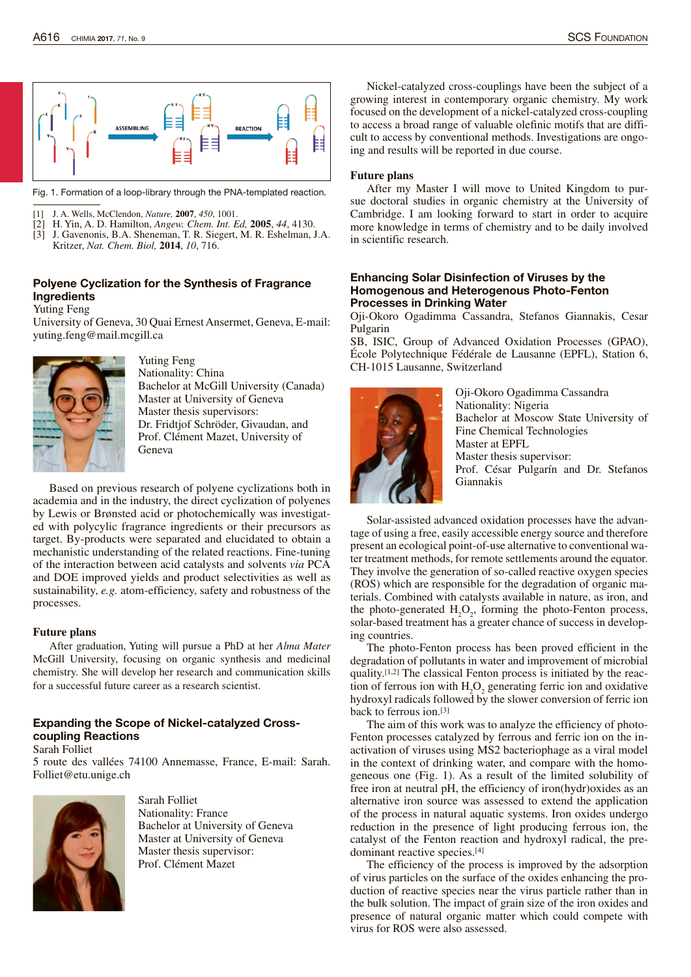

Fig. 1. Formation of a loop-library through the PNA-templated reaction.

- [1] J. A. Wells, McClendon, *Nature,* **2007**, *450*, 1001.
- [2] H. Yin, A. D. Hamilton, *Angew. Chem. Int. Ed,* **2005**, *44*, 4130.
- [3] J. Gavenonis, B.A. Sheneman, T. R. Siegert, M. R. Eshelman, J.A. Kritzer, *Nat. Chem. Biol,* **2014**, *10*, 716.

# Polyene Cyclization for the Synthesis of Fragrance Ingredients

#### Yuting Feng

University of Geneva, 30 Quai ErnestAnsermet, Geneva, E-mail: yuting.feng@mail.mcgill.ca



Yuting Feng Nationality: China Bachelor at McGill University (Canada) Master at University of Geneva Master thesis supervisors: Dr. Fridtjof Schröder, Givaudan, and Prof. Clément Mazet, University of Geneva

Based on previous research of polyene cyclizations both in academia and in the industry, the direct cyclization of polyenes by Lewis or Brønsted acid or photochemically was investigated with polycylic fragrance ingredients or their precursors as target. By-products were separated and elucidated to obtain a mechanistic understanding of the related reactions. Fine-tuning of the interaction between acid catalysts and solvents *via* PCA and DOE improved yields and product selectivities as well as sustainability, *e.g.* atom-efficiency, safety and robustness of the processes.

# **Future plans**

After graduation, Yuting will pursue a PhD at her *Alma Mater* McGill University, focusing on organic synthesis and medicinal chemistry. She will develop her research and communication skills for a successful future career as a research scientist.

# Expanding the Scope of Nickel-catalyzed Crosscoupling Reactions

Sarah Folliet 5 route des vallées 74100 Annemasse, France, E-mail: Sarah.



Folliet@etu.unige.ch

Sarah Folliet Nationality: France Bachelor at University of Geneva Master at University of Geneva Master thesis supervisor: Prof. Clément Mazet

Nickel-catalyzed cross-couplings have been the subject of a growing interest in contemporary organic chemistry. My work focused on the development of a nickel-catalyzed cross-coupling to access a broad range of valuable olefinic motifs that are difficult to access by conventional methods. Investigations are ongoing and results will be reported in due course.

#### **Future plans**

After my Master I will move to United Kingdom to pursue doctoral studies in organic chemistry at the University of Cambridge. I am looking forward to start in order to acquire more knowledge in terms of chemistry and to be daily involved in scientific research.

#### Enhancing Solar Disinfection of Viruses by the Homogenous and Heterogenous Photo-Fenton Processes in Drinking Water

Oji-Okoro Ogadimma Cassandra, Stefanos Giannakis, Cesar Pulgarin

SB, ISIC, Group of Advanced Oxidation Processes (GPAO), École Polytechnique Fédérale de Lausanne (EPFL), Station 6, CH-1015 Lausanne, Switzerland



Oji-Okoro Ogadimma Cassandra Nationality: Nigeria Bachelor at Moscow State University of Fine Chemical Technologies Master at EPFL Master thesis supervisor: Prof. César Pulgarín and Dr. Stefanos Giannakis

Solar-assisted advanced oxidation processes have the advantage of using a free, easily accessible energy source and therefore present an ecological point-of-use alternative to conventional water treatment methods, for remote settlements around the equator. They involve the generation of so-called reactive oxygen species (ROS) which are responsible for the degradation of organic materials. Combined with catalysts available in nature, as iron, and the photo-generated  $H_2O_2$ , forming the photo-Fenton process, solar-based treatment has a greater chance of success in developing countries.

The photo-Fenton process has been proved efficient in the degradation of pollutants in water and improvement of microbial quality. [1,2] The classical Fenton process is initiated by the reaction of ferrous ion with  $H_2O_2$  generating ferric ion and oxidative hydroxyl radicals followed by the slower conversion of ferric ion back to ferrous ion.[3]

The aim of this work was to analyze the efficiency of photo-Fenton processes catalyzed by ferrous and ferric ion on the inactivation of viruses using MS2 bacteriophage as a viral model in the context of drinking water, and compare with the homogeneous one (Fig. 1). As a result of the limited solubility of free iron at neutral pH, the efficiency of iron(hydr)oxides as an alternative iron source was assessed to extend the application of the process in natural aquatic systems. Iron oxides undergo reduction in the presence of light producing ferrous ion, the catalyst of the Fenton reaction and hydroxyl radical, the predominant reactive species.[4]

The efficiency of the process is improved by the adsorption of virus particles on the surface of the oxides enhancing the production of reactive species near the virus particle rather than in the bulk solution. The impact of grain size of the iron oxides and presence of natural organic matter which could compete with virus for ROS were also assessed.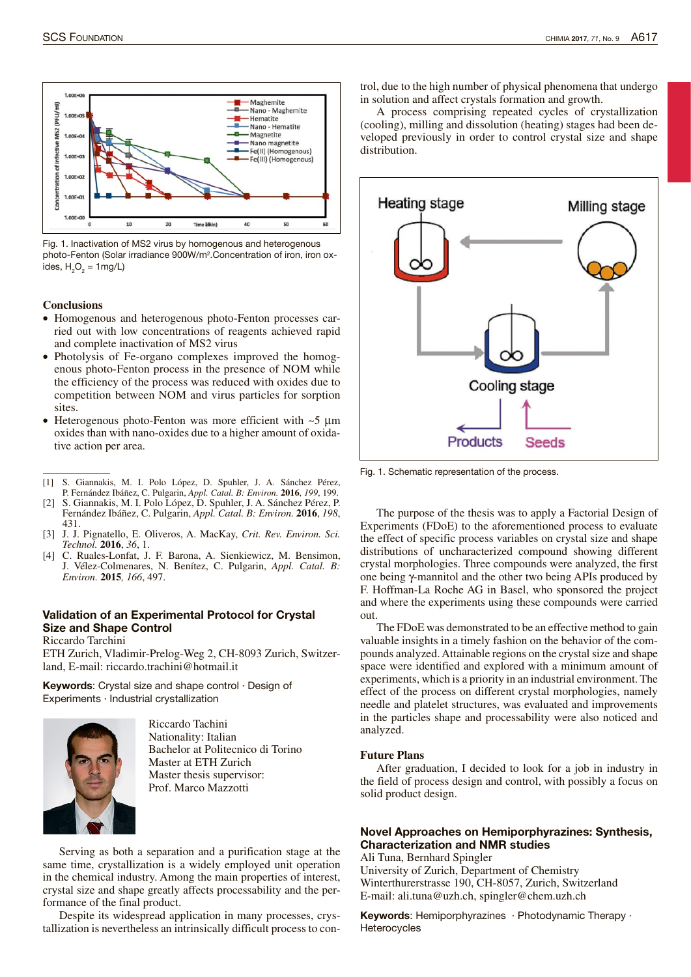

Fig. 1. Inactivation of MS2 virus by homogenous and heterogenous photo-Fenton (Solar irradiance 900W/m<sup>2</sup> .Concentration of iron, iron oxides,  $H_2O_2 = 1$ mg/L)

#### **Conclusions**

- · Homogenous and heterogenous photo-Fenton processes carried out with low concentrations of reagents achieved rapid and complete inactivation of MS2 virus
- Photolysis of Fe-organo complexes improved the homogenous photo-Fenton process in the presence of NOM while the efficiency of the process was reduced with oxides due to competition between NOM and virus particles for sorption sites.
- Heterogenous photo-Fenton was more efficient with  $\sim$ 5  $\mu$ m oxides than with nano-oxides due to a higher amount of oxidative action per area.
- [1] S. Giannakis, M. I. Polo López, D. Spuhler, J. A. Sánchez Pérez, P. Fernández Ibáñez, C. Pulgarin, *Appl. Catal. B: Environ.* **2016**, *199*, 199.
- [2] S. Giannakis, M. I. Polo López, D. Spuhler, J. A. Sánchez Pérez, P. Fernández Ibáñez, C. Pulgarin, *Appl. Catal. B: Environ.* **2016**, *198*, 431.
- [3] J. J. Pignatello, E. Oliveros, A. MacKay, *Crit. Rev. Environ. Sci. Technol.* **2016**, *36*, 1.
- [4] C. Ruales-Lonfat, J. F. Barona, A. Sienkiewicz, M. Bensimon, J. Vélez-Colmenares, N. Benítez, C. Pulgarin, *Appl. Catal. B: Environ.* **2015***, 166*, 497.

# Validation of an Experimental Protocol for Crystal Size and Shape Control

#### Riccardo Tarchini

ETH Zurich, Vladimir-Prelog-Weg 2, CH-8093 Zurich, Switzerland, E-mail: riccardo.trachini@hotmail.it

Keywords: Crystal size and shape control · Design of Experiments · Industrial crystallization



Riccardo Tachini Nationality: Italian Bachelor at Politecnico di Torino Master at ETH Zurich Master thesis supervisor: Prof. Marco Mazzotti

Serving as both a separation and a purification stage at the same time, crystallization is a widely employed unit operation in the chemical industry. Among the main properties of interest, crystal size and shape greatly affects processability and the performance of the final product.

Despite its widespread application in many processes, crystallization is nevertheless an intrinsically difficult process to control, due to the high number of physical phenomena that undergo in solution and affect crystals formation and growth.

A process comprising repeated cycles of crystallization (cooling), milling and dissolution (heating) stages had been developed previously in order to control crystal size and shape distribution.



Fig. 1. Schematic representation of the process.

The purpose of the thesis was to apply a Factorial Design of Experiments (FDoE) to the aforementioned process to evaluate the effect of specific process variables on crystal size and shape distributions of uncharacterized compound showing different crystal morphologies. Three compounds were analyzed, the first one being γ-mannitol and the other two being APIs produced by F. Hoffman-La Roche AG in Basel, who sponsored the project and where the experiments using these compounds were carried out.

The FDoE was demonstrated to be an effective method to gain valuable insights in a timely fashion on the behavior of the compounds analyzed.Attainable regions on the crystal size and shape space were identified and explored with a minimum amount of experiments, which is a priority in an industrial environment. The effect of the process on different crystal morphologies, namely needle and platelet structures, was evaluated and improvements in the particles shape and processability were also noticed and analyzed.

#### **Future Plans**

After graduation, I decided to look for a job in industry in the field of process design and control, with possibly a focus on solid product design.

# Novel Approaches on Hemiporphyrazines: Synthesis, Characterization and NMR studies

Ali Tuna, Bernhard Spingler

University of Zurich, Department of Chemistry Winterthurerstrasse 190, CH-8057, Zurich, Switzerland E-mail: ali.tuna@uzh.ch, spingler@chem.uzh.ch

Keywords: Hemiporphyrazines · Photodynamic Therapy · **Heterocycles**